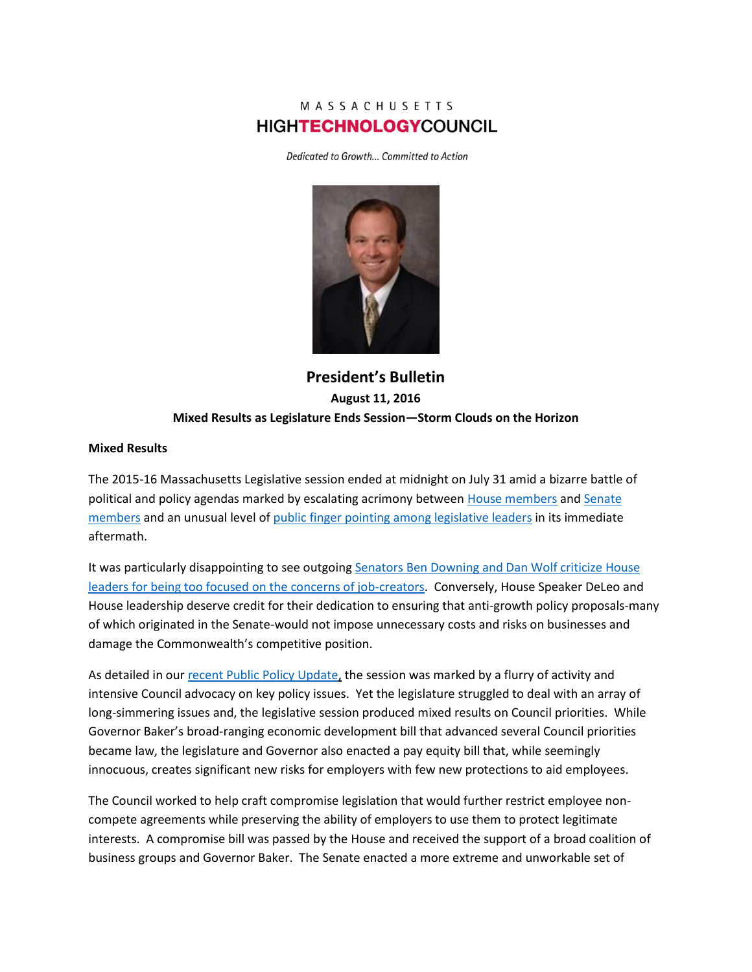# MASSACHUSETTS **HIGHTECHNOLOGYCOUNCIL**

Dedicated to Growth... Committed to Action



**President's Bulletin August 11, 2016 Mixed Results as Legislature Ends Session—Storm Clouds on the Horizon**

#### **Mixed Results**

The 2015-16 Massachusetts Legislative session ended at midnight on July 31 amid a bizarre battle of political and policy agendas marked by escalating acrimony betwee[n House members](http://www.mhtc.org/wp-content/uploads/2016/08/SHNS_TalkButNoResultsonBigBills_NortonandMurphy_07302016.pdf) an[d Senate](http://www.mhtc.org/wp-content/uploads/2016/08/SHNS_RosenbergHousePaceAddedtoChallenge_Lannan_07302016.pdf)  [members](http://www.mhtc.org/wp-content/uploads/2016/08/SHNS_RosenbergHousePaceAddedtoChallenge_Lannan_07302016.pdf) and an unusual level o[f public finger pointing among legislative leaders](http://www.mhtc.org/wp-content/uploads/2016/08/SHNS_RepsOpenUpAboutStateofHouse_Murphy_08042016.pdf) in its immediate aftermath.

It was particularly disappointing to see outgoing [Senators Ben Downing and Dan Wolf criticize House](https://www.bostonglobe.com/metro/2016/08/01/legislature-rushes-finish-line-again/2aOj3PriDxZst3fEVNoRMK/story.html)  [leaders for being too focused on the concerns of job-creators.](https://www.bostonglobe.com/metro/2016/08/01/legislature-rushes-finish-line-again/2aOj3PriDxZst3fEVNoRMK/story.html) Conversely, House Speaker DeLeo and House leadership deserve credit for their dedication to ensuring that anti-growth policy proposals-many of which originated in the Senate-would not impose unnecessary costs and risks on businesses and damage the Commonwealth's competitive position.

As detailed in our [recent Public Policy Update,](http://www.mhtc.org/wp-content/uploads/2016/07/MHTC_PublicPolicyUpdate_FINAL_07212016.pdf) the session was marked by a flurry of activity and intensive Council advocacy on key policy issues. Yet the legislature struggled to deal with an array of long-simmering issues and, the legislative session produced mixed results on Council priorities. While Governor Baker's broad-ranging economic development bill that advanced several Council priorities became law, the legislature and Governor also enacted a pay equity bill that, while seemingly innocuous, creates significant new risks for employers with few new protections to aid employees.

The Council worked to help craft compromise legislation that would further restrict employee noncompete agreements while preserving the ability of employers to use them to protect legitimate interests. A compromise bill was passed by the House and received the support of a broad coalition of business groups and Governor Baker. The Senate enacted a more extreme and unworkable set of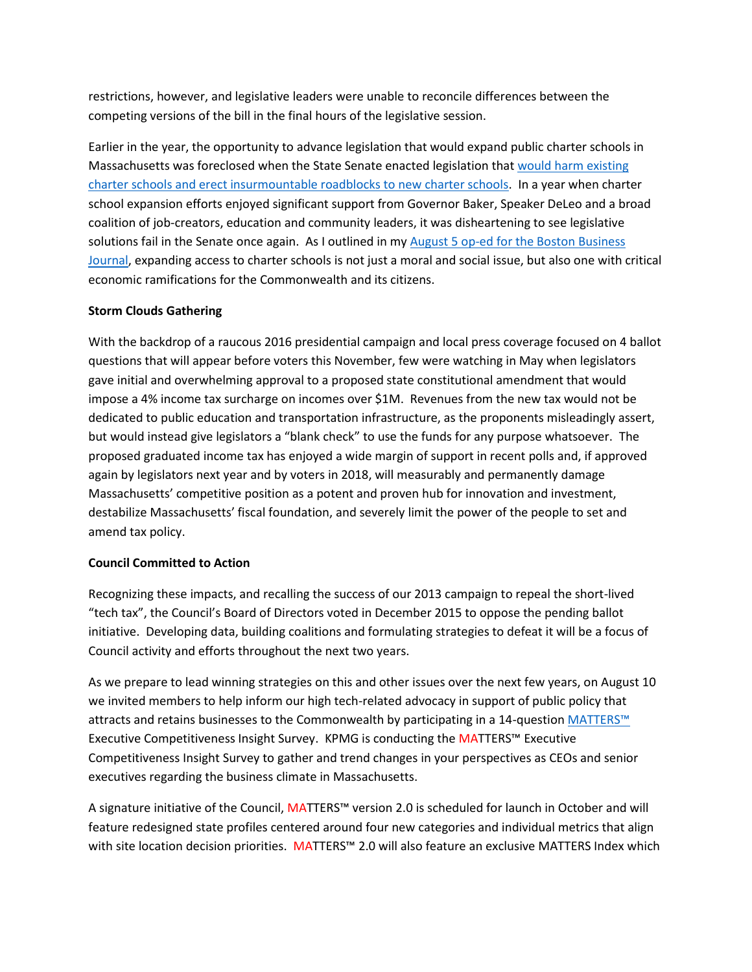restrictions, however, and legislative leaders were unable to reconcile differences between the competing versions of the bill in the final hours of the legislative session.

Earlier in the year, the opportunity to advance legislation that would expand public charter schools in Massachusetts was foreclosed when the State Senate enacted legislation that [would harm existing](http://www.mhtc.org/wp-content/uploads/2016/05/MHTC-Statement-Senate-Charter-School-Legislation-4-7-16-FINAL-PDF.pdf)  [charter schools and erect insurmountable roadblocks to new charter schools.](http://www.mhtc.org/wp-content/uploads/2016/05/MHTC-Statement-Senate-Charter-School-Legislation-4-7-16-FINAL-PDF.pdf) In a year when charter school expansion efforts enjoyed significant support from Governor Baker, Speaker DeLeo and a broad coalition of job-creators, education and community leaders, it was disheartening to see legislative solutions fail in the Senate once again. As I outlined in my August 5 op-ed for the Boston Business [Journal,](http://www.mhtc.org/viewpoint-charter-expansion-key-to-winning-tech-talent/) expanding access to charter schools is not just a moral and social issue, but also one with critical economic ramifications for the Commonwealth and its citizens.

## **Storm Clouds Gathering**

With the backdrop of a raucous 2016 presidential campaign and local press coverage focused on 4 ballot questions that will appear before voters this November, few were watching in May when legislators gave initial and overwhelming approval to a proposed state constitutional amendment that would impose a 4% income tax surcharge on incomes over \$1M. Revenues from the new tax would not be dedicated to public education and transportation infrastructure, as the proponents misleadingly assert, but would instead give legislators a "blank check" to use the funds for any purpose whatsoever. The proposed graduated income tax has enjoyed a wide margin of support in recent polls and, if approved again by legislators next year and by voters in 2018, will measurably and permanently damage Massachusetts' competitive position as a potent and proven hub for innovation and investment, destabilize Massachusetts' fiscal foundation, and severely limit the power of the people to set and amend tax policy.

## **Council Committed to Action**

Recognizing these impacts, and recalling the success of our 2013 campaign to repeal the short-lived "tech tax", the Council's Board of Directors voted in December 2015 to oppose the pending ballot initiative. Developing data, building coalitions and formulating strategies to defeat it will be a focus of Council activity and efforts throughout the next two years.

As we prepare to lead winning strategies on this and other issues over the next few years, on August 10 we invited members to help inform our high tech-related advocacy in support of public policy that attracts and retains businesses to the Commonwealth by participating in a 14-question [MATTERS™](http://matters.mhtc.org/) Executive Competitiveness Insight Survey. KPMG is conducting the MATTERS™ Executive Competitiveness Insight Survey to gather and trend changes in your perspectives as CEOs and senior executives regarding the business climate in Massachusetts.

A signature initiative of the Council, MATTERS™ version 2.0 is scheduled for launch in October and will feature redesigned state profiles centered around four new categories and individual metrics that align with site location decision priorities. MATTERS™ 2.0 will also feature an exclusive MATTERS Index which